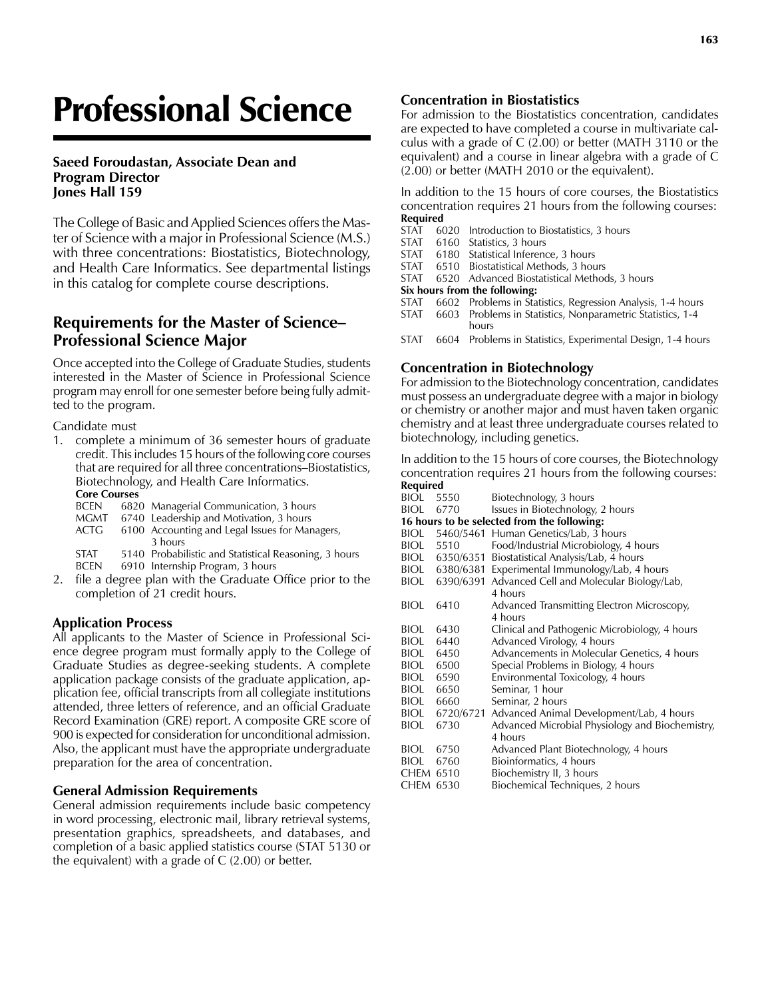# Professional Science

#### **Saeed Foroudastan, Associate Dean and Program Director Jones Hall 159**

The College of Basic and Applied Sciences offers the Master of Science with a major in Professional Science (M.S.) with three concentrations: Biostatistics, Biotechnology, and Health Care Informatics. See departmental listings in this catalog for complete course descriptions.

# **Requirements for the Master of Science– Professional Science Major**

Once accepted into the College of Graduate Studies, students interested in the Master of Science in Professional Science program may enroll for one semester before being fully admitted to the program.

Candidate must

- 1. complete a minimum of 36 semester hours of graduate credit. This includes 15 hours of the following core courses that are required for all three concentrations–Biostatistics, Biotechnology, and Health Care Informatics. **Core Courses**
	- BCEN 6820 Managerial Communication, 3 hours
	-
	- MGMT 6740 Leadership and Motivation, 3 hours<br>ACTG 6100 Accounting and Legal Issues for Mar 6100 Accounting and Legal Issues for Managers, 3 hours
	- STAT 5140 Probabilistic and Statistical Reasoning, 3 hours BCEN 6910 Internship Program, 3 hours
- 2. file a degree plan with the Graduate Office prior to the completion of 21 credit hours.

## **Application Process**

All applicants to the Master of Science in Professional Science degree program must formally apply to the College of Graduate Studies as degree-seeking students. A complete application package consists of the graduate application, application fee, official transcripts from all collegiate institutions attended, three letters of reference, and an official Graduate Record Examination (GRE) report. A composite GRE score of 900 is expected for consideration for unconditional admission. Also, the applicant must have the appropriate undergraduate preparation for the area of concentration.

## **General Admission Requirements**

General admission requirements include basic competency in word processing, electronic mail, library retrieval systems, presentation graphics, spreadsheets, and databases, and completion of a basic applied statistics course (STAT 5130 or the equivalent) with a grade of C (2.00) or better.

#### **Concentration in Biostatistics**

For admission to the Biostatistics concentration, candidates are expected to have completed a course in multivariate calculus with a grade of C (2.00) or better (MATH 3110 or the equivalent) and a course in linear algebra with a grade of C (2.00) or better (MATH 2010 or the equivalent).

In addition to the 15 hours of core courses, the Biostatistics concentration requires 21 hours from the following courses: **Required**

- STAT 6020 Introduction to Biostatistics, 3 hours
- STAT 6160 Statistics, 3 hours<br>STAT 6180 Statistical Inference
- STAT 6180 Statistical Inference, 3 hours<br>STAT 6510 Biostatistical Methods, 3 hours
- 6510 Biostatistical Methods, 3 hours
- STAT 6520 Advanced Biostatistical Methods, 3 hours

**Six hours from the following:**

- STAT 6602 Problems in Statistics, Regression Analysis, 1-4 hours
- STAT 6603 Problems in Statistics, Nonparametric Statistics, 1-4 hours
- STAT 6604 Problems in Statistics, Experimental Design, 1-4 hours

#### **Concentration in Biotechnology**

For admission to the Biotechnology concentration, candidates must possess an undergraduate degree with a major in biology or chemistry or another major and must haven taken organic chemistry and at least three undergraduate courses related to biotechnology, including genetics.

In addition to the 15 hours of core courses, the Biotechnology concentration requires 21 hours from the following courses: **Required**

BIOL 5550 Biotechnology, 3 hours<br>BIOL 6770 Issues in Biotechnology Issues in Biotechnology, 2 hours **16 hours to be selected from the following:** 5460/5461 Human Genetics/Lab, 3 hours BIOL 5510 Food/Industrial Microbiology, 4 hours BIOL 6350/6351 Biostatistical Analysis/Lab, 4 hours BIOL 6380/6381 Experimental Immunology/Lab, 4 hours<br>BIOL 6390/6391 Advanced Cell and Molecular Biology/L 6390/6391 Advanced Cell and Molecular Biology/Lab, 4 hours BIOL 6410 Advanced Transmitting Electron Microscopy, 4 hours<br>BIOL 6430 Clinical Clinical and Pathogenic Microbiology, 4 hours BIOL 6440 Advanced Virology, 4 hours<br>BIOL 6450 Advancements in Molecular BIOL 6450 Advancements in Molecular Genetics, 4 hours<br>BIOL 6500 Special Problems in Biology, 4 hours Special Problems in Biology, 4 hours BIOL 6590 Environmental Toxicology, 4 hours BIOL 6650 Seminar, 1 hour BIOL 6660 Seminar, 2 hours<br>BIOL 6720/6721 Advanced Anima Advanced Animal Development/Lab, 4 hours BIOL 6730 Advanced Microbial Physiology and Biochemistry, 4 hours BIOL 6750 Advanced Plant Biotechnology, 4 hours BIOL 6760 Bioinformatics, 4 hours<br>CHEM 6510 Biochemistry II. 3 hours Biochemistry II, 3 hours CHEM 6530 Biochemical Techniques, 2 hours